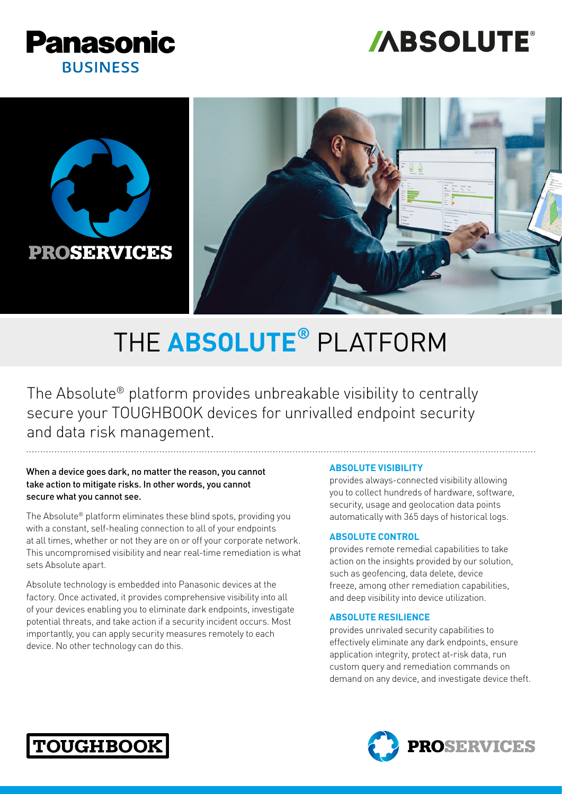





# THE **ABSOLUTE®** PLATFORM

The Absolute® platform provides unbreakable visibility to centrally secure your TOUGHBOOK devices for unrivalled endpoint security and data risk management.

#### When a device goes dark, no matter the reason, you cannot take action to mitigate risks. In other words, you cannot secure what you cannot see.

The Absolute® platform eliminates these blind spots, providing you with a constant, self-healing connection to all of your endpoints at all times, whether or not they are on or off your corporate network. This uncompromised visibility and near real-time remediation is what sets Absolute apart.

Absolute technology is embedded into Panasonic devices at the factory. Once activated, it provides comprehensive visibility into all of your devices enabling you to eliminate dark endpoints, investigate potential threats, and take action if a security incident occurs. Most importantly, you can apply security measures remotely to each device. No other technology can do this.

#### **ABSOLUTE VISIBILITY**

provides always-connected visibility allowing you to collect hundreds of hardware, software, security, usage and geolocation data points automatically with 365 days of historical logs.

#### **ABSOLUTE CONTROL**

provides remote remedial capabilities to take action on the insights provided by our solution, such as geofencing, data delete, device freeze, among other remediation capabilities, and deep visibility into device utilization.

#### **ABSOLUTE RESILIENCE**

provides unrivaled security capabilities to effectively eliminate any dark endpoints, ensure application integrity, protect at-risk data, run custom query and remediation commands on demand on any device, and investigate device theft.